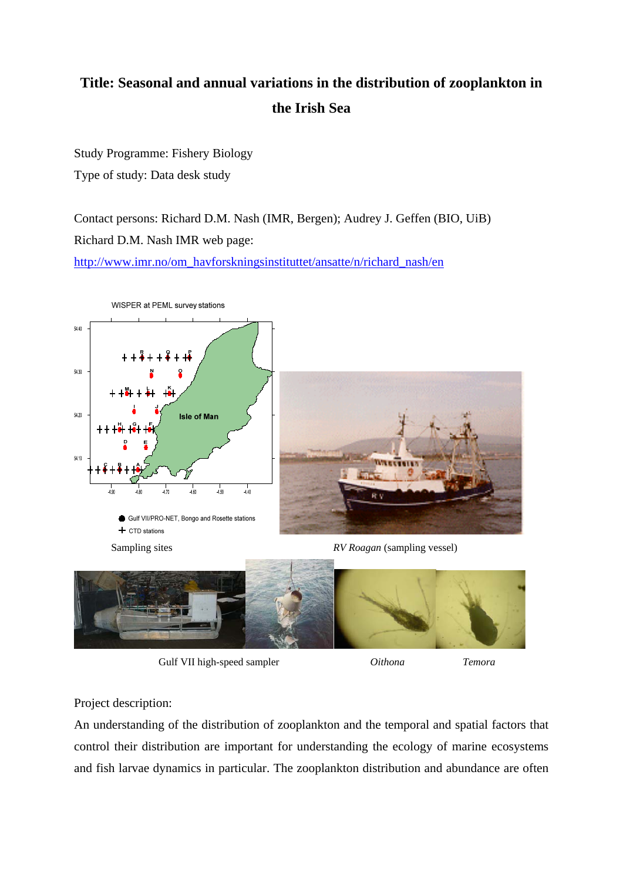## **Title: Seasonal and annual variations in the distribution of zooplankton in the Irish Sea**

Study Programme: Fishery Biology Type of study: Data desk study

Contact persons: Richard D.M. Nash (IMR, Bergen); Audrey J. Geffen (BIO, UiB) Richard D.M. Nash IMR web page: http://www.imr.no/om\_havforskningsinstituttet/ansatte/n/richard\_nash/en



Gulf VII high-speed sampler *Oithona* Temora

Project description:

An understanding of the distribution of zooplankton and the temporal and spatial factors that control their distribution are important for understanding the ecology of marine ecosystems and fish larvae dynamics in particular. The zooplankton distribution and abundance are often